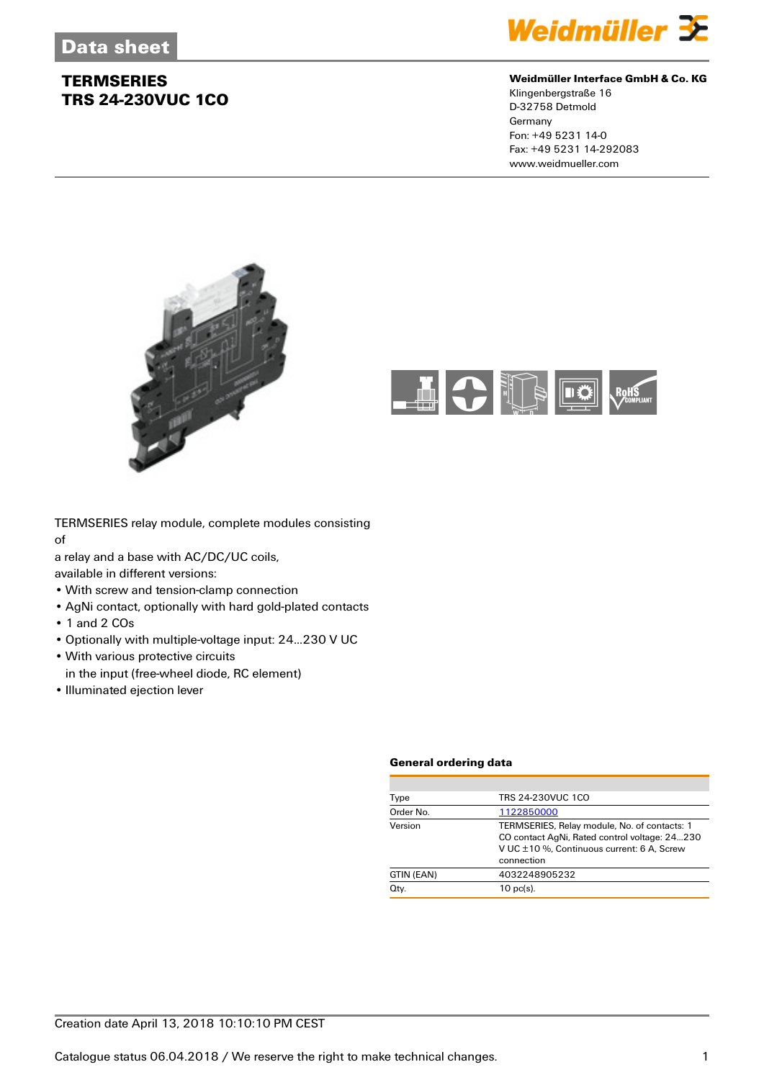

#### **Weidmüller Interface GmbH & Co. KG**

Klingenbergstraße 16 D-32758 Detmold Germany Fon: +49 5231 14-0 Fax: +49 5231 14-292083 www.weidmueller.com





TERMSERIES relay module, complete modules consisting of

a relay and a base with AC/DC/UC coils,

available in different versions:

- With screw and tension-clamp connection
- AgNi contact, optionally with hard gold-plated contacts
- 1 and 2 COs
- Optionally with multiple-voltage input: 24...230 V UC
- With various protective circuits
- in the input (free-wheel diode, RC element)
- Illuminated ejection lever

#### **General ordering data**

| Type       | TRS 24-230VUC 1CO                                                                                                                                         |
|------------|-----------------------------------------------------------------------------------------------------------------------------------------------------------|
| Order No.  | 1122850000                                                                                                                                                |
| Version    | TERMSERIES, Relay module, No. of contacts: 1<br>CO contact AgNi, Rated control voltage: 24230<br>V UC ±10 %, Continuous current: 6 A, Screw<br>connection |
| GTIN (EAN) | 4032248905232                                                                                                                                             |
| Qty.       | $10$ pc(s).                                                                                                                                               |
|            |                                                                                                                                                           |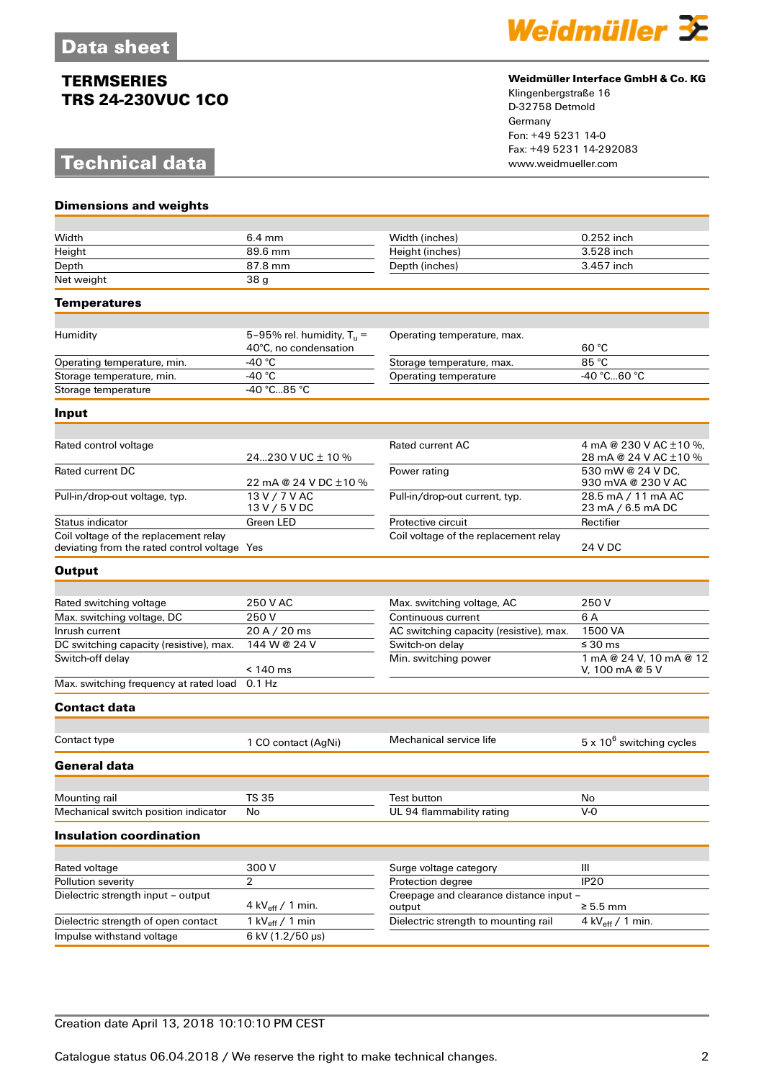## **Technical data**

**Dimensions and weights**



#### **Weidmüller Interface GmbH & Co. KG**

Klingenbergstraße 16 D-32758 Detmold Germany Fon: +49 5231 14-0 Fax: +49 5231 14-292083

| Width                                                                                 | $6.4 \text{ mm}$                                      | Width (inches)                                    | 0.252 inch                                      |
|---------------------------------------------------------------------------------------|-------------------------------------------------------|---------------------------------------------------|-------------------------------------------------|
| Height                                                                                | 89.6 mm                                               | Height (inches)                                   | 3.528 inch                                      |
| Depth                                                                                 | 87.8 mm                                               | Depth (inches)                                    | 3.457 inch                                      |
| Net weight                                                                            | 38 <sub>g</sub>                                       |                                                   |                                                 |
| <b>Temperatures</b>                                                                   |                                                       |                                                   |                                                 |
|                                                                                       |                                                       |                                                   |                                                 |
| Humidity                                                                              | 5-95% rel. humidity, $T_u =$<br>40°C, no condensation | Operating temperature, max.                       | 60 °C                                           |
| Operating temperature, min.                                                           | -40 °C                                                | Storage temperature, max.                         | 85 °C                                           |
| Storage temperature, min.                                                             | -40 $^{\circ}$ C                                      | <b>Operating temperature</b>                      | -40 °C60 °C                                     |
| Storage temperature                                                                   | -40 °C85 °C                                           |                                                   |                                                 |
| Input                                                                                 |                                                       |                                                   |                                                 |
|                                                                                       |                                                       |                                                   |                                                 |
| Rated control voltage                                                                 | 24230 V UC $\pm$ 10 %                                 | <b>Rated current AC</b>                           | 4 mA @ 230 V AC ±10 %,<br>28 mA @ 24 V AC ±10 % |
| <b>Rated current DC</b>                                                               | 22 mA @ 24 V DC ±10 %                                 | Power rating                                      | 530 mW @ 24 V DC.<br>930 mVA @ 230 V AC         |
| Pull-in/drop-out voltage, typ.                                                        | 13 V / 7 V AC<br>13 V / 5 V DC                        | Pull-in/drop-out current, typ.                    | 28.5 mA / 11 mA AC<br>23 mA / 6.5 mA DC         |
| <b>Status indicator</b>                                                               | Green LED                                             | Protective circuit                                | Rectifier                                       |
| Coil voltage of the replacement relay<br>deviating from the rated control voltage Yes |                                                       | Coil voltage of the replacement relay             | 24 V DC                                         |
| <b>Output</b>                                                                         |                                                       |                                                   |                                                 |
| Rated switching voltage                                                               | 250 V AC                                              | Max. switching voltage, AC                        | 250 V                                           |
| Max. switching voltage, DC                                                            | 250 V                                                 | Continuous current                                | 6 A                                             |
| Inrush current                                                                        | 20 A / 20 ms                                          | AC switching capacity (resistive), max.           | 1500 VA                                         |
| DC switching capacity (resistive), max.                                               | 144 W @ 24 V                                          | Switch-on delay                                   | ≤ 30 ms                                         |
| Switch-off delay                                                                      | $< 140$ ms                                            | Min. switching power                              | 1 mA @ 24 V, 10 mA @ 12<br>V, 100 mA @ 5 V      |
| Max. switching frequency at rated load                                                | $0.1$ Hz                                              |                                                   |                                                 |
| <b>Contact data</b>                                                                   |                                                       |                                                   |                                                 |
| Contact type                                                                          |                                                       | Mechanical service life                           |                                                 |
|                                                                                       | 1 CO contact (AgNi)                                   |                                                   | 5 x 10 <sup>6</sup> switching cycles            |
| General data                                                                          |                                                       |                                                   |                                                 |
| Mounting rail                                                                         | <b>TS 35</b>                                          | Test button                                       | No                                              |
| Mechanical switch position indicator                                                  | No                                                    | UL 94 flammability rating                         | $V - O$                                         |
| <b>Insulation coordination</b>                                                        |                                                       |                                                   |                                                 |
|                                                                                       |                                                       |                                                   |                                                 |
| Rated voltage                                                                         | 300V                                                  | Surge voltage category                            | Ш                                               |
| Pollution severity                                                                    | $\overline{2}$                                        | Protection degree                                 | <b>IP20</b>                                     |
| Dielectric strength input - output                                                    | 4 kV $_{\text{eff}}$ / 1 min.                         | Creepage and clearance distance input -<br>output | $\geq 5.5$ mm                                   |
| Dielectric strength of open contact                                                   | 1 $kV_{\text{eff}}$ / 1 min                           | Dielectric strength to mounting rail              | 4 kV $_{\text{eff}}$ / 1 min.                   |
| Impulse withstand voltage                                                             | 6 kV (1.2/50 µs)                                      |                                                   |                                                 |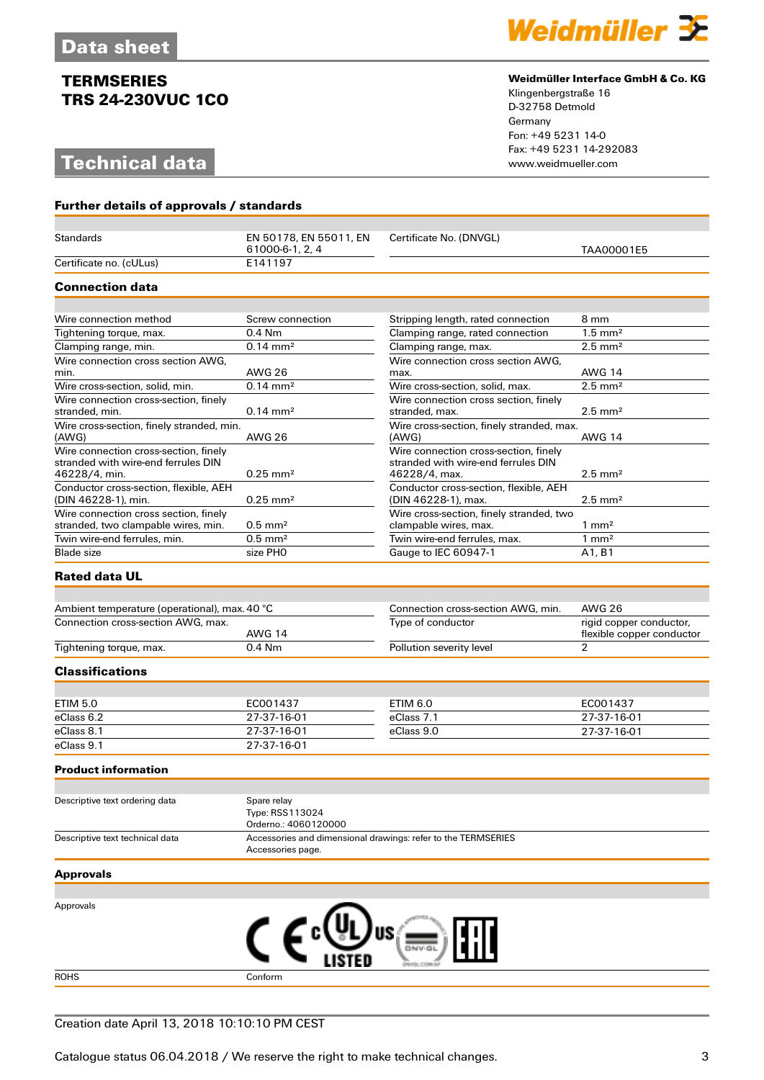## **Technical data**



#### **Weidmüller Interface GmbH & Co. KG**

Klingenbergstraße 16 D-32758 Detmold Germany Fon: +49 5231 14-0 Fax: +49 5231 14-292083

| Further details of approvals / standards                                                      |                                                                                    |                                                                                               |                                             |  |
|-----------------------------------------------------------------------------------------------|------------------------------------------------------------------------------------|-----------------------------------------------------------------------------------------------|---------------------------------------------|--|
|                                                                                               |                                                                                    |                                                                                               |                                             |  |
| <b>Standards</b>                                                                              | EN 50178, EN 55011, EN<br>61000-6-1, 2, 4                                          | Certificate No. (DNVGL)                                                                       | TAA00001E5                                  |  |
| Certificate no. (cULus)                                                                       | E141197                                                                            |                                                                                               |                                             |  |
| <b>Connection data</b>                                                                        |                                                                                    |                                                                                               |                                             |  |
|                                                                                               |                                                                                    |                                                                                               |                                             |  |
| Wire connection method                                                                        | Screw connection                                                                   | Stripping length, rated connection                                                            | 8 mm                                        |  |
| Tightening torque, max.                                                                       | $0.4$ Nm                                                                           | Clamping range, rated connection                                                              | $1.5 \text{ mm}^2$                          |  |
| Clamping range, min.                                                                          | $0.14 \, \text{mm}^2$                                                              | Clamping range, max.                                                                          | $2.5$ mm <sup>2</sup>                       |  |
| Wire connection cross section AWG,                                                            |                                                                                    | Wire connection cross section AWG,                                                            |                                             |  |
| min.                                                                                          | <b>AWG 26</b>                                                                      | max.                                                                                          | <b>AWG 14</b>                               |  |
| Wire cross-section, solid, min.                                                               | $0.14 \, \text{mm}^2$                                                              | Wire cross-section, solid, max.                                                               | $2.5$ mm <sup>2</sup>                       |  |
| Wire connection cross-section, finely<br>stranded, min.                                       | $0.14 \, \text{mm}^2$                                                              | Wire connection cross section, finely<br>stranded, max.                                       | $2.5$ mm <sup>2</sup>                       |  |
| Wire cross-section, finely stranded, min.<br>(AWG)                                            | <b>AWG 26</b>                                                                      | Wire cross-section, finely stranded, max.<br>(AWG)                                            | <b>AWG 14</b>                               |  |
| Wire connection cross-section, finely<br>stranded with wire-end ferrules DIN<br>46228/4, min. | $0.25$ mm <sup>2</sup>                                                             | Wire connection cross-section, finely<br>stranded with wire-end ferrules DIN<br>46228/4, max. | $2.5$ mm <sup>2</sup>                       |  |
| Conductor cross-section, flexible, AEH<br>(DIN 46228-1), min.                                 | $0.25$ mm <sup>2</sup>                                                             | Conductor cross-section, flexible, AEH<br>(DIN 46228-1), max.                                 | $2.5$ mm <sup>2</sup>                       |  |
| Wire connection cross section, finely<br>stranded, two clampable wires, min.                  | $0.5$ mm <sup>2</sup>                                                              | Wire cross-section, finely stranded, two<br>clampable wires, max.                             | $1 \text{ mm}^2$                            |  |
| Twin wire-end ferrules, min.                                                                  | $0.5$ mm <sup>2</sup>                                                              | Twin wire-end ferrules, max.                                                                  | $1 \text{ mm}^2$                            |  |
| Blade size                                                                                    | size PHO                                                                           | Gauge to IEC 60947-1                                                                          | A1, B1                                      |  |
| <b>Rated data UL</b>                                                                          |                                                                                    |                                                                                               |                                             |  |
|                                                                                               |                                                                                    |                                                                                               |                                             |  |
| Ambient temperature (operational), max. 40 °C                                                 |                                                                                    | Connection cross-section AWG, min.                                                            | <b>AWG 26</b>                               |  |
| Connection cross-section AWG, max.                                                            |                                                                                    | Type of conductor                                                                             | rigid copper conductor,                     |  |
|                                                                                               | <b>AWG 14</b><br>0.4 Nm                                                            |                                                                                               | flexible copper conductor<br>$\overline{2}$ |  |
| Tightening torque, max.                                                                       |                                                                                    | Pollution severity level                                                                      |                                             |  |
| <b>Classifications</b>                                                                        |                                                                                    |                                                                                               |                                             |  |
| <b>ETIM 5.0</b>                                                                               | EC001437                                                                           | ETIM 6.0                                                                                      | EC001437                                    |  |
| eClass 6.2                                                                                    | 27-37-16-01                                                                        | eClass 7.1                                                                                    | 27-37-16-01                                 |  |
| eClass 8.1                                                                                    | 27-37-16-01                                                                        | eClass 9.0                                                                                    | 27-37-16-01                                 |  |
| eClass 9.1                                                                                    | 27-37-16-01                                                                        |                                                                                               |                                             |  |
| <b>Product information</b>                                                                    |                                                                                    |                                                                                               |                                             |  |
|                                                                                               |                                                                                    |                                                                                               |                                             |  |
| Descriptive text ordering data                                                                | Spare relay<br>Type: RSS113024<br>Orderno.: 4060120000                             |                                                                                               |                                             |  |
| Descriptive text technical data                                                               | Accessories and dimensional drawings: refer to the TERMSERIES<br>Accessories page. |                                                                                               |                                             |  |
| <b>Approvals</b>                                                                              |                                                                                    |                                                                                               |                                             |  |
|                                                                                               |                                                                                    |                                                                                               |                                             |  |
| Approvals                                                                                     |                                                                                    | US                                                                                            |                                             |  |
|                                                                                               |                                                                                    |                                                                                               |                                             |  |
| <b>ROHS</b>                                                                                   | Conform                                                                            |                                                                                               |                                             |  |

### Creation date April 13, 2018 10:10:10 PM CEST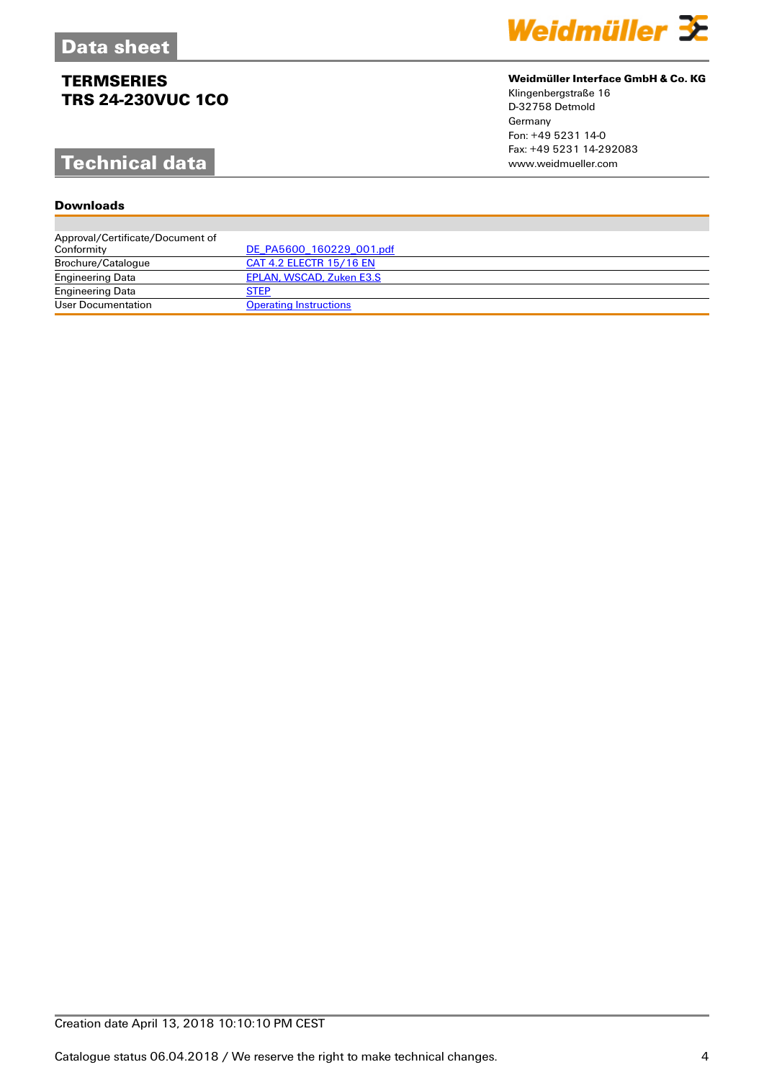# **Technical data**

### **Downloads**



### **Weidmüller Interface GmbH & Co. KG**

Klingenbergstraße 16 D-32758 Detmold Germany Fon: +49 5231 14-0 Fax: +49 5231 14-292083

| Approval/Certificate/Document of |                               |
|----------------------------------|-------------------------------|
| Conformity                       | DE PA5600 160229 001.pdf      |
| Brochure/Catalogue               | CAT 4.2 ELECTR 15/16 EN       |
| <b>Engineering Data</b>          | EPLAN, WSCAD, Zuken E3.S      |
| <b>Engineering Data</b>          | <b>STEP</b>                   |
| User Documentation               | <b>Operating Instructions</b> |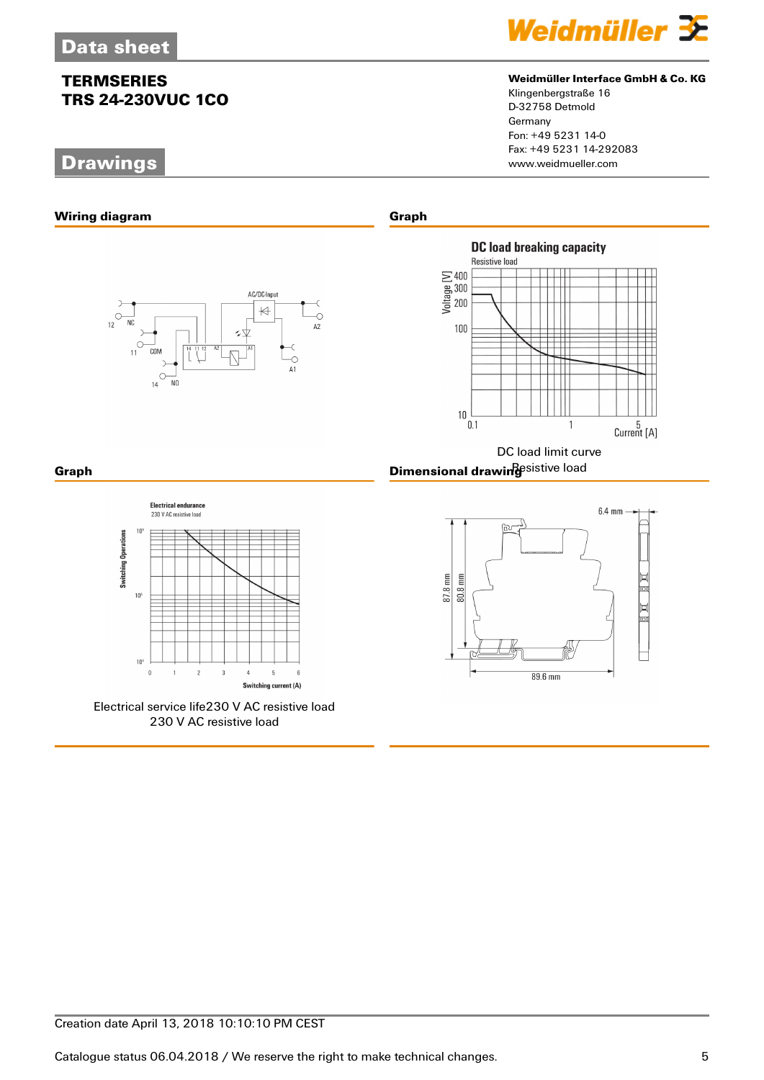## **Drawings**



#### **Weidmüller Interface GmbH & Co. KG**

Klingenbergstraße 16 D-32758 Detmold Germany Fon: +49 5231 14-0 Fax: +49 5231 14-292083